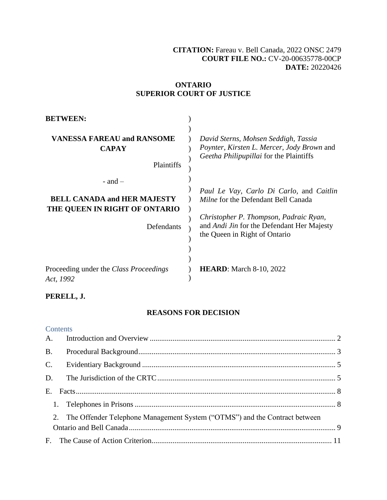## **[CITATION:](http://intra.judicialsecurity.jus.gov.on.ca/NeutralCitation/)** Fareau v. Bell Canada, 2022 ONSC 2479 **COURT FILE NO.:** CV-20-00635778-00CP **DATE:** 20220426

## **ONTARIO SUPERIOR COURT OF JUSTICE**

| <b>BETWEEN:</b>                                                                                  |                                                                                                                                                                                                                        |
|--------------------------------------------------------------------------------------------------|------------------------------------------------------------------------------------------------------------------------------------------------------------------------------------------------------------------------|
| <b>VANESSA FAREAU and RANSOME</b><br><b>CAPAY</b><br>Plaintiffs                                  | David Sterns, Mohsen Seddigh, Tassia<br>Poynter, Kirsten L. Mercer, Jody Brown and<br>Geetha Philipupillai for the Plaintiffs                                                                                          |
| $-$ and $-$<br><b>BELL CANADA and HER MAJESTY</b><br>THE QUEEN IN RIGHT OF ONTARIO<br>Defendants | Paul Le Vay, Carlo Di Carlo, and Caitlin<br><i>Milne</i> for the Defendant Bell Canada<br>Christopher P. Thompson, Padraic Ryan,<br>and <i>Andi Jin</i> for the Defendant Her Majesty<br>the Queen in Right of Ontario |
| Proceeding under the Class Proceedings<br>Act, 1992                                              | <b>HEARD:</b> March 8-10, 2022                                                                                                                                                                                         |

## **PERELL, J.**

## **REASONS FOR DECISION**

### **Contents**

| <b>B.</b> |                                                                               |  |
|-----------|-------------------------------------------------------------------------------|--|
|           |                                                                               |  |
|           |                                                                               |  |
|           |                                                                               |  |
|           |                                                                               |  |
|           | 2. The Offender Telephone Management System ("OTMS") and the Contract between |  |
|           |                                                                               |  |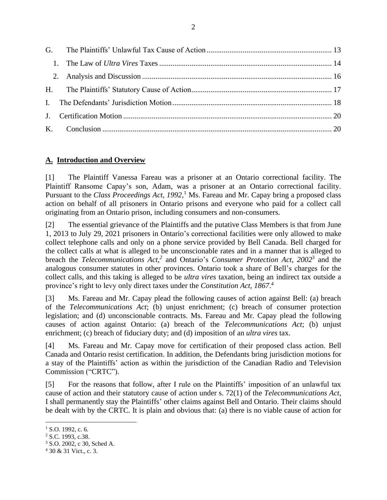## <span id="page-1-0"></span>**A. Introduction and Overview**

[1] The Plaintiff Vanessa Fareau was a prisoner at an Ontario correctional facility. The Plaintiff Ransome Capay's son, Adam, was a prisoner at an Ontario correctional facility. Pursuant to the *Class Proceedings Act, 1992,*<sup>1</sup> Ms. Fareau and Mr. Capay bring a proposed class action on behalf of all prisoners in Ontario prisons and everyone who paid for a collect call originating from an Ontario prison, including consumers and non-consumers.

[2] The essential grievance of the Plaintiffs and the putative Class Members is that from June 1, 2013 to July 29, 2021 prisoners in Ontario's correctional facilities were only allowed to make collect telephone calls and only on a phone service provided by Bell Canada. Bell charged for the collect calls at what is alleged to be unconscionable rates and in a manner that is alleged to breach the *Telecommunications Act,<sup>2</sup>* and Ontario's *Consumer Protection Act, 2002*<sup>3</sup> and the analogous consumer statutes in other provinces. Ontario took a share of Bell's charges for the collect calls, and this taking is alleged to be *ultra vires* taxation, being an indirect tax outside a province's right to levy only direct taxes under the *Constitution Act, 1867*. 4

[3] Ms. Fareau and Mr. Capay plead the following causes of action against Bell: (a) breach of the *Telecommunications Act*; (b) unjust enrichment; (c) breach of consumer protection legislation; and (d) unconscionable contracts. Ms. Fareau and Mr. Capay plead the following causes of action against Ontario: (a) breach of the *Telecommunications Act*; (b) unjust enrichment; (c) breach of fiduciary duty; and (d) imposition of an *ultra vires* tax.

[4] Ms. Fareau and Mr. Capay move for certification of their proposed class action. Bell Canada and Ontario resist certification. In addition, the Defendants bring jurisdiction motions for a stay of the Plaintiffs' action as within the jurisdiction of the Canadian Radio and Television Commission ("CRTC").

[5] For the reasons that follow, after I rule on the Plaintiffs' imposition of an unlawful tax cause of action and their statutory cause of action under s. 72(1) of the *Telecommunications Act*, I shall permanently stay the Plaintiffs' other claims against Bell and Ontario. Their claims should be dealt with by the CRTC. It is plain and obvious that: (a) there is no viable cause of action for

 $1$  S.O. 1992, c. 6.

<sup>2</sup> S.C. 1993, c.38.

<sup>3</sup> S.O. 2002, c 30, Sched A.

<sup>4</sup> 30 & 31 Vict., c. 3.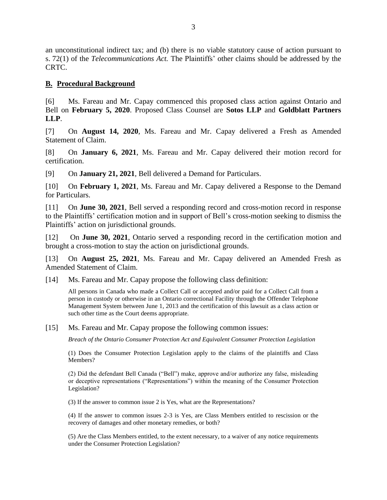an unconstitutional indirect tax; and (b) there is no viable statutory cause of action pursuant to s. 72(1) of the *Telecommunications Act.* The Plaintiffs' other claims should be addressed by the CRTC.

### <span id="page-2-0"></span>**B. Procedural Background**

[6] Ms. Fareau and Mr. Capay commenced this proposed class action against Ontario and Bell on **February 5, 2020**. Proposed Class Counsel are **Sotos LLP** and **Goldblatt Partners LLP**.

[7] On **August 14, 2020**, Ms. Fareau and Mr. Capay delivered a Fresh as Amended Statement of Claim.

[8] On **January 6, 2021**, Ms. Fareau and Mr. Capay delivered their motion record for certification.

[9] On **January 21, 2021**, Bell delivered a Demand for Particulars.

[10] On **February 1, 2021**, Ms. Fareau and Mr. Capay delivered a Response to the Demand for Particulars.

[11] On **June 30, 2021**, Bell served a responding record and cross-motion record in response to the Plaintiffs' certification motion and in support of Bell's cross-motion seeking to dismiss the Plaintiffs' action on jurisdictional grounds.

[12] On **June 30, 2021**, Ontario served a responding record in the certification motion and brought a cross-motion to stay the action on jurisdictional grounds.

[13] On **August 25, 2021**, Ms. Fareau and Mr. Capay delivered an Amended Fresh as Amended Statement of Claim.

[14] Ms. Fareau and Mr. Capay propose the following class definition:

All persons in Canada who made a Collect Call or accepted and/or paid for a Collect Call from a person in custody or otherwise in an Ontario correctional Facility through the Offender Telephone Management System between June 1, 2013 and the certification of this lawsuit as a class action or such other time as the Court deems appropriate.

[15] Ms. Fareau and Mr. Capay propose the following common issues:

*Breach of the Ontario Consumer Protection Act and Equivalent Consumer Protection Legislation*

(1) Does the Consumer Protection Legislation apply to the claims of the plaintiffs and Class Members?

(2) Did the defendant Bell Canada ("Bell") make, approve and/or authorize any false, misleading or deceptive representations ("Representations") within the meaning of the Consumer Protection Legislation?

(3) If the answer to common issue 2 is Yes, what are the Representations?

(4) If the answer to common issues 2-3 is Yes, are Class Members entitled to rescission or the recovery of damages and other monetary remedies, or both?

(5) Are the Class Members entitled, to the extent necessary, to a waiver of any notice requirements under the Consumer Protection Legislation?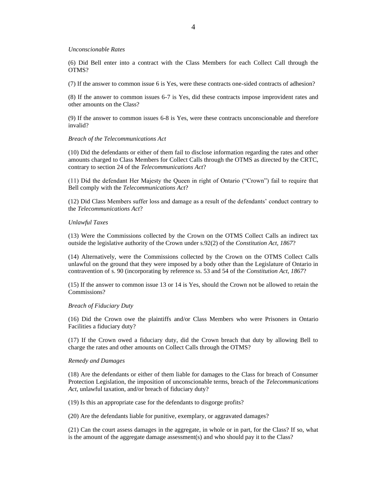#### *Unconscionable Rates*

(6) Did Bell enter into a contract with the Class Members for each Collect Call through the OTMS?

(7) If the answer to common issue 6 is Yes, were these contracts one-sided contracts of adhesion?

(8) If the answer to common issues 6-7 is Yes, did these contracts impose improvident rates and other amounts on the Class?

(9) If the answer to common issues 6-8 is Yes, were these contracts unconscionable and therefore invalid?

#### *Breach of the Telecommunications Act*

(10) Did the defendants or either of them fail to disclose information regarding the rates and other amounts charged to Class Members for Collect Calls through the OTMS as directed by the CRTC, contrary to section 24 of the *Telecommunications Act*?

(11) Did the defendant Her Majesty the Queen in right of Ontario ("Crown") fail to require that Bell comply with the *Telecommunications Act*?

(12) Did Class Members suffer loss and damage as a result of the defendants' conduct contrary to the *Telecommunications Act*?

#### *Unlawful Taxes*

(13) Were the Commissions collected by the Crown on the OTMS Collect Calls an indirect tax outside the legislative authority of the Crown under s.92(2) of the *Constitution Act, 1867*?

(14) Alternatively, were the Commissions collected by the Crown on the OTMS Collect Calls unlawful on the ground that they were imposed by a body other than the Legislature of Ontario in contravention of s. 90 (incorporating by reference ss. 53 and 54 of the *Constitution Act, 1867*?

(15) If the answer to common issue 13 or 14 is Yes, should the Crown not be allowed to retain the Commissions?

#### *Breach of Fiduciary Duty*

(16) Did the Crown owe the plaintiffs and/or Class Members who were Prisoners in Ontario Facilities a fiduciary duty?

(17) If the Crown owed a fiduciary duty, did the Crown breach that duty by allowing Bell to charge the rates and other amounts on Collect Calls through the OTMS?

#### *Remedy and Damages*

(18) Are the defendants or either of them liable for damages to the Class for breach of Consumer Protection Legislation, the imposition of unconscionable terms, breach of the *Telecommunications Act*, unlawful taxation, and/or breach of fiduciary duty?

(19) Is this an appropriate case for the defendants to disgorge profits?

(20) Are the defendants liable for punitive, exemplary, or aggravated damages?

(21) Can the court assess damages in the aggregate, in whole or in part, for the Class? If so, what is the amount of the aggregate damage assessment(s) and who should pay it to the Class?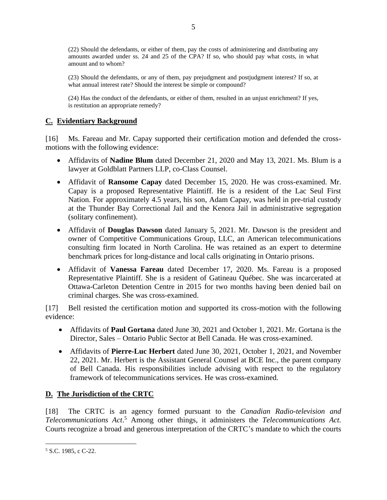(22) Should the defendants, or either of them, pay the costs of administering and distributing any amounts awarded under ss. 24 and 25 of the CPA? If so, who should pay what costs, in what amount and to whom?

(23) Should the defendants, or any of them, pay prejudgment and postjudgment interest? If so, at what annual interest rate? Should the interest be simple or compound?

(24) Has the conduct of the defendants, or either of them, resulted in an unjust enrichment? If yes, is restitution an appropriate remedy?

## <span id="page-4-0"></span>**C. Evidentiary Background**

[16] Ms. Fareau and Mr. Capay supported their certification motion and defended the crossmotions with the following evidence:

- Affidavits of **Nadine Blum** dated December 21, 2020 and May 13, 2021. Ms. Blum is a lawyer at Goldblatt Partners LLP, co-Class Counsel.
- Affidavit of **Ransome Capay** dated December 15, 2020. He was cross-examined. Mr. Capay is a proposed Representative Plaintiff. He is a resident of the Lac Seul First Nation. For approximately 4.5 years, his son, Adam Capay, was held in pre-trial custody at the Thunder Bay Correctional Jail and the Kenora Jail in administrative segregation (solitary confinement).
- Affidavit of **Douglas Dawson** dated January 5, 2021. Mr. Dawson is the president and owner of Competitive Communications Group, LLC, an American telecommunications consulting firm located in North Carolina. He was retained as an expert to determine benchmark prices for long-distance and local calls originating in Ontario prisons.
- Affidavit of **Vanessa Fareau** dated December 17, 2020. Ms. Fareau is a proposed Representative Plaintiff. She is a resident of Gatineau Québec. She was incarcerated at Ottawa-Carleton Detention Centre in 2015 for two months having been denied bail on criminal charges. She was cross-examined.

[17] Bell resisted the certification motion and supported its cross-motion with the following evidence:

- Affidavits of **Paul Gortana** dated June 30, 2021 and October 1, 2021. Mr. Gortana is the Director, Sales – Ontario Public Sector at Bell Canada. He was cross-examined.
- Affidavits of **Pierre-Luc Herbert** dated June 30, 2021, October 1, 2021, and November 22, 2021. Mr. Herbert is the Assistant General Counsel at BCE Inc., the parent company of Bell Canada. His responsibilities include advising with respect to the regulatory framework of telecommunications services. He was cross-examined.

# <span id="page-4-1"></span>**D. The Jurisdiction of the CRTC**

[18] The CRTC is an agency formed pursuant to the *Canadian Radio-television and Telecommunications Act*. <sup>5</sup> Among other things, it administers the *Telecommunications Act.*  Courts recognize a broad and generous interpretation of the CRTC's mandate to which the courts

<sup>5</sup> S.C. 1985, c C-22.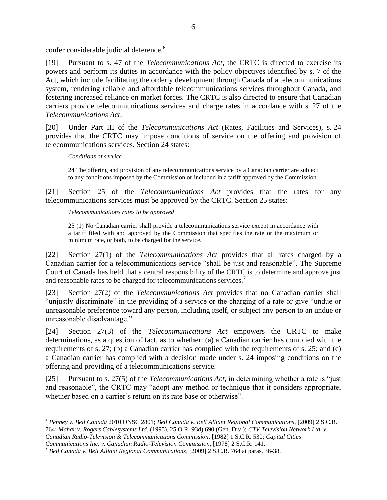confer considerable judicial deference.<sup>6</sup>

[19] Pursuant to s. 47 of the *Telecommunications Act*, the CRTC is directed to exercise its powers and perform its duties in accordance with the policy objectives identified by s. 7 of the Act, which include facilitating the orderly development through Canada of a telecommunications system, rendering reliable and affordable telecommunications services throughout Canada, and fostering increased reliance on market forces. The CRTC is also directed to ensure that Canadian carriers provide telecommunications services and charge rates in accordance with s. 27 of the *Telecommunications Act*.

[20] Under Part III of the *Telecommunications Act* (Rates, Facilities and Services), s. 24 provides that the CRTC may impose conditions of service on the offering and provision of telecommunications services. Section 24 states:

### *Conditions of service*

24 The offering and provision of any telecommunications service by a Canadian carrier are subject to any conditions imposed by the Commission or included in a tariff approved by the Commission.

[21] Section 25 of the *Telecommunications Act* provides that the rates for any telecommunications services must be approved by the CRTC. Section 25 states:

### *Telecommunications rates to be approved*

25 (1) No Canadian carrier shall provide a telecommunications service except in accordance with a tariff filed with and approved by the Commission that specifies the rate or the maximum or minimum rate, or both, to be charged for the service.

[22] Section 27(1) of the *Telecommunications Act* provides that all rates charged by a Canadian carrier for a telecommunications service "shall be just and reasonable". The Supreme Court of Canada has held that a central responsibility of the CRTC is to determine and approve just and reasonable rates to be charged for telecommunications services.<sup>7</sup>

[23] Section 27(2) of the *Telecommunications Act* provides that no Canadian carrier shall "unjustly discriminate" in the providing of a service or the charging of a rate or give "undue or unreasonable preference toward any person, including itself, or subject any person to an undue or unreasonable disadvantage."

[24] Section 27(3) of the *Telecommunications Act* empowers the CRTC to make determinations, as a question of fact, as to whether: (a) a Canadian carrier has complied with the requirements of s. 27; (b) a Canadian carrier has complied with the requirements of s. 25; and (c) a Canadian carrier has complied with a decision made under s. 24 imposing conditions on the offering and providing of a telecommunications service.

[25] Pursuant to s. 27(5) of the *Telecommunications Act,* in determining whether a rate is "just and reasonable", the CRTC may "adopt any method or technique that it considers appropriate, whether based on a carrier's return on its rate base or otherwise".

<sup>6</sup> *Penney v. Bell Canada* 2010 ONSC 2801; *Bell Canada v. Bell Alliant Regional Communications*, [2009] 2 S.C.R. 764; *Mahar v. Rogers Cablesystems Ltd*. (1995), 25 O.R. 93d) 690 (Gen. Div.); *CTV Television Network Ltd. v. Canadian Radio-Television & Telecommunications Commission*, [1982] 1 S.C.R. 530; *Capital Cities* 

*Communications Inc. v. Canadian Radio-Television Commission*, [1978] 2 S.C.R. 141.

<sup>7</sup> *Bell Canada v. Bell Alliant Regional Communications*, [2009] 2 S.C.R. 764 at paras. 36-38.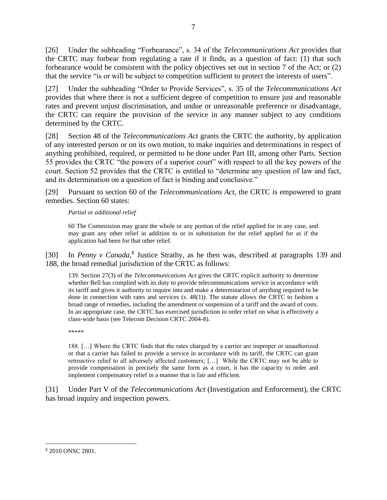[26] Under the subheading "Forbearance", s. 34 of the *Telecommunications Act* provides that the CRTC may forbear from regulating a rate if it finds, as a question of fact: (1) that such forbearance would be consistent with the policy objectives set out in section 7 of the Act; or (2) that the service "is or will be subject to competition sufficient to protect the interests of users".

[27] Under the subheading "Order to Provide Services", s. 35 of the *Telecommunications Act* provides that where there is not a sufficient degree of competition to ensure just and reasonable rates and prevent unjust discrimination, and undue or unreasonable preference or disadvantage, the CRTC can require the provision of the service in any manner subject to any conditions determined by the CRTC.

[28] Section 48 of the *Telecommunications Act* grants the CRTC the authority, by application of any interested person or on its own motion, to make inquiries and determinations in respect of anything prohibited, required, or permitted to be done under Part III, among other Parts. Section 55 provides the CRTC "the powers of a superior court" with respect to all the key powers of the court. Section 52 provides that the CRTC is entitled to "determine any question of law and fact, and its determination on a question of fact is binding and conclusive."

[29] Pursuant to section 60 of the *Telecommunications Act,* the CRTC is empowered to grant remedies. Section 60 states:

### *Partial or additional relief*

60 The Commission may grant the whole or any portion of the relief applied for in any case, and may grant any other relief in addition to or in substitution for the relief applied for as if the application had been for that other relief.

[30] In *Penny v Canada*,<sup>8</sup> Justice Strathy, as he then was, described at paragraphs 139 and 188, the broad remedial jurisdiction of the CRTC as follows:

139. Section 27(3) of the *Telecommunications Act* gives the CRTC explicit authority to determine whether Bell has complied with its duty to provide telecommunications service in accordance with its tariff and gives it authority to inquire into and make a determination of anything required to be done in connection with rates and services (s. 48(1)). The statute allows the CRTC to fashion a broad range of remedies, including the amendment or suspension of a tariff and the award of costs. In an appropriate case, the CRTC has exercised jurisdiction to order relief on what is effectively a class-wide basis (see Telecom Decision CRTC 2004-8).

\*\*\*\*\*

188. […] Where the CRTC finds that the rates charged by a carrier are improper or unauthorized or that a carrier has failed to provide a service in accordance with its tariff, the CRTC can grant retroactive relief to all adversely affected customers; […] While the CRTC may not be able to provide compensation in precisely the same form as a court, it has the capacity to order and implement compensatory relief in a manner that is fair and efficient.

[31] Under Part V of the *Telecommunications Act* (Investigation and Enforcement), the CRTC has broad inquiry and inspection powers.

<sup>8</sup> 2010 ONSC 2801.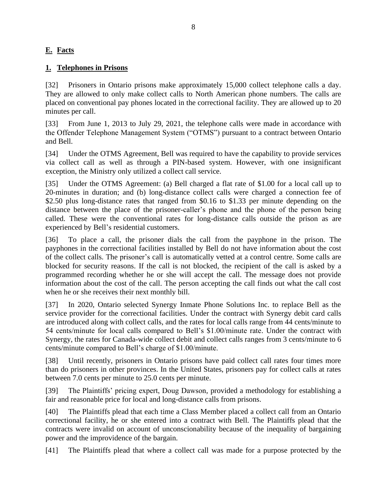# <span id="page-7-0"></span>**E. Facts**

## <span id="page-7-1"></span>**1. Telephones in Prisons**

[32] Prisoners in Ontario prisons make approximately 15,000 collect telephone calls a day. They are allowed to only make collect calls to North American phone numbers. The calls are placed on conventional pay phones located in the correctional facility. They are allowed up to 20 minutes per call.

[33] From June 1, 2013 to July 29, 2021, the telephone calls were made in accordance with the Offender Telephone Management System ("OTMS") pursuant to a contract between Ontario and Bell.

[34] Under the OTMS Agreement, Bell was required to have the capability to provide services via collect call as well as through a PIN-based system. However, with one insignificant exception, the Ministry only utilized a collect call service.

[35] Under the OTMS Agreement: (a) Bell charged a flat rate of \$1.00 for a local call up to 20-minutes in duration; and (b) long-distance collect calls were charged a connection fee of \$2.50 plus long-distance rates that ranged from \$0.16 to \$1.33 per minute depending on the distance between the place of the prisoner-caller's phone and the phone of the person being called. These were the conventional rates for long-distance calls outside the prison as are experienced by Bell's residential customers.

[36] To place a call, the prisoner dials the call from the payphone in the prison. The payphones in the correctional facilities installed by Bell do not have information about the cost of the collect calls. The prisoner's call is automatically vetted at a control centre. Some calls are blocked for security reasons. If the call is not blocked, the recipient of the call is asked by a programmed recording whether he or she will accept the call. The message does not provide information about the cost of the call. The person accepting the call finds out what the call cost when he or she receives their next monthly bill.

[37] In 2020, Ontario selected Synergy Inmate Phone Solutions Inc. to replace Bell as the service provider for the correctional facilities. Under the contract with Synergy debit card calls are introduced along with collect calls, and the rates for local calls range from 44 cents/minute to 54 cents/minute for local calls compared to Bell's \$1.00/minute rate. Under the contract with Synergy, the rates for Canada-wide collect debit and collect calls ranges from 3 cents/minute to 6 cents/minute compared to Bell's charge of \$1.00/minute.

[38] Until recently, prisoners in Ontario prisons have paid collect call rates four times more than do prisoners in other provinces. In the United States, prisoners pay for collect calls at rates between 7.0 cents per minute to 25.0 cents per minute.

[39] The Plaintiffs' pricing expert, Doug Dawson, provided a methodology for establishing a fair and reasonable price for local and long-distance calls from prisons.

[40] The Plaintiffs plead that each time a Class Member placed a collect call from an Ontario correctional facility, he or she entered into a contract with Bell. The Plaintiffs plead that the contracts were invalid on account of unconscionability because of the inequality of bargaining power and the improvidence of the bargain.

[41] The Plaintiffs plead that where a collect call was made for a purpose protected by the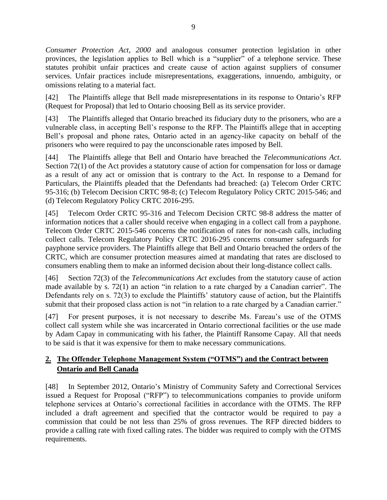*Consumer Protection Act, 2000* and analogous consumer protection legislation in other provinces, the legislation applies to Bell which is a "supplier" of a telephone service. These statutes prohibit unfair practices and create cause of action against suppliers of consumer services. Unfair practices include misrepresentations, exaggerations, innuendo, ambiguity, or omissions relating to a material fact.

[42] The Plaintiffs allege that Bell made misrepresentations in its response to Ontario's RFP (Request for Proposal) that led to Ontario choosing Bell as its service provider.

[43] The Plaintiffs alleged that Ontario breached its fiduciary duty to the prisoners, who are a vulnerable class, in accepting Bell's response to the RFP. The Plaintiffs allege that in accepting Bell's proposal and phone rates, Ontario acted in an agency-like capacity on behalf of the prisoners who were required to pay the unconscionable rates imposed by Bell.

[44] The Plaintiffs allege that Bell and Ontario have breached the *Telecommunications Act*. Section 72(1) of the Act provides a statutory cause of action for compensation for loss or damage as a result of any act or omission that is contrary to the Act. In response to a Demand for Particulars, the Plaintiffs pleaded that the Defendants had breached: (a) Telecom Order CRTC 95-316; (b) Telecom Decision CRTC 98-8; (c) Telecom Regulatory Policy CRTC 2015-546; and (d) Telecom Regulatory Policy CRTC 2016-295.

[45] Telecom Order CRTC 95-316 and Telecom Decision CRTC 98-8 address the matter of information notices that a caller should receive when engaging in a collect call from a payphone. Telecom Order CRTC 2015-546 concerns the notification of rates for non-cash calls, including collect calls. Telecom Regulatory Policy CRTC 2016-295 concerns consumer safeguards for payphone service providers. The Plaintiffs allege that Bell and Ontario breached the orders of the CRTC, which are consumer protection measures aimed at mandating that rates are disclosed to consumers enabling them to make an informed decision about their long-distance collect calls.

[46] Section 72(3) of the *Telecommunications Act* excludes from the statutory cause of action made available by s. 72(1) an action "in relation to a rate charged by a Canadian carrier". The Defendants rely on s. 72(3) to exclude the Plaintiffs' statutory cause of action, but the Plaintiffs submit that their proposed class action is not "in relation to a rate charged by a Canadian carrier."

[47] For present purposes, it is not necessary to describe Ms. Fareau's use of the OTMS collect call system while she was incarcerated in Ontario correctional facilities or the use made by Adam Capay in communicating with his father, the Plaintiff Ransome Capay. All that needs to be said is that it was expensive for them to make necessary communications.

# <span id="page-8-0"></span>**2. The Offender Telephone Management System ("OTMS") and the Contract between Ontario and Bell Canada**

[48] In September 2012, Ontario's Ministry of Community Safety and Correctional Services issued a Request for Proposal ("RFP") to telecommunications companies to provide uniform telephone services at Ontario's correctional facilities in accordance with the OTMS. The RFP included a draft agreement and specified that the contractor would be required to pay a commission that could be not less than 25% of gross revenues. The RFP directed bidders to provide a calling rate with fixed calling rates. The bidder was required to comply with the OTMS requirements.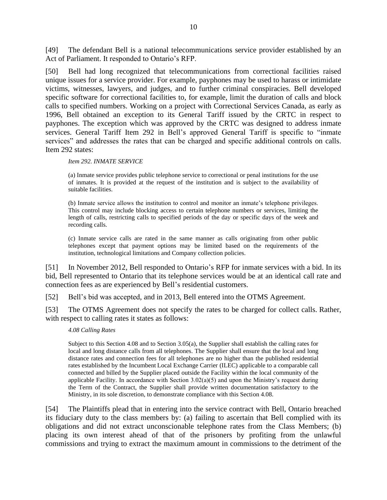[49] The defendant Bell is a national telecommunications service provider established by an Act of Parliament. It responded to Ontario's RFP.

[50] Bell had long recognized that telecommunications from correctional facilities raised unique issues for a service provider. For example, payphones may be used to harass or intimidate victims, witnesses, lawyers, and judges, and to further criminal conspiracies. Bell developed specific software for correctional facilities to, for example, limit the duration of calls and block calls to specified numbers. Working on a project with Correctional Services Canada, as early as 1996, Bell obtained an exception to its General Tariff issued by the CRTC in respect to payphones. The exception which was approved by the CRTC was designed to address inmate services. General Tariff Item 292 in Bell's approved General Tariff is specific to "inmate services" and addresses the rates that can be charged and specific additional controls on calls. Item 292 states:

### *Item 292. INMATE SERVICE*

(a) Inmate service provides public telephone service to correctional or penal institutions for the use of inmates. It is provided at the request of the institution and is subject to the availability of suitable facilities.

(b) Inmate service allows the institution to control and monitor an inmate's telephone privileges. This control may include blocking access to certain telephone numbers or services, limiting the length of calls, restricting calls to specified periods of the day or specific days of the week and recording calls.

(c) Inmate service calls are rated in the same manner as calls originating from other public telephones except that payment options may be limited based on the requirements of the institution, technological limitations and Company collection policies.

[51] In November 2012, Bell responded to Ontario's RFP for inmate services with a bid. In its bid, Bell represented to Ontario that its telephone services would be at an identical call rate and connection fees as are experienced by Bell's residential customers.

[52] Bell's bid was accepted, and in 2013, Bell entered into the OTMS Agreement.

[53] The OTMS Agreement does not specify the rates to be charged for collect calls. Rather, with respect to calling rates it states as follows:

### *4.08 Calling Rates*

Subject to this Section 4.08 and to Section 3.05(a), the Supplier shall establish the calling rates for local and long distance calls from all telephones. The Supplier shall ensure that the local and long distance rates and connection fees for all telephones are no higher than the published residential rates established by the Incumbent Local Exchange Carrier (ILEC) applicable to a comparable call connected and billed by the Supplier placed outside the Facility within the local community of the applicable Facility. In accordance with Section  $3.02(a)(5)$  and upon the Ministry's request during the Term of the Contract, the Supplier shall provide written documentation satisfactory to the Ministry, in its sole discretion, to demonstrate compliance with this Section 4.08.

[54] The Plaintiffs plead that in entering into the service contract with Bell, Ontario breached its fiduciary duty to the class members by: (a) failing to ascertain that Bell complied with its obligations and did not extract unconscionable telephone rates from the Class Members; (b) placing its own interest ahead of that of the prisoners by profiting from the unlawful commissions and trying to extract the maximum amount in commissions to the detriment of the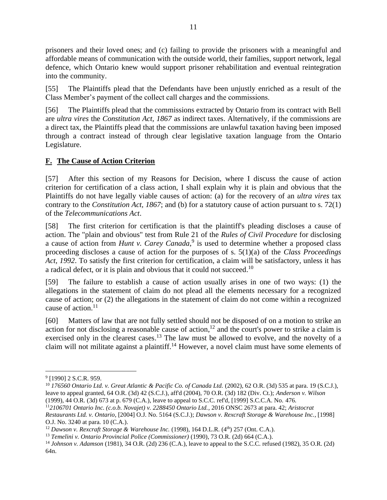prisoners and their loved ones; and (c) failing to provide the prisoners with a meaningful and affordable means of communication with the outside world, their families, support network, legal defence, which Ontario knew would support prisoner rehabilitation and eventual reintegration into the community.

[55] The Plaintiffs plead that the Defendants have been unjustly enriched as a result of the Class Member's payment of the collect call charges and the commissions.

[56] The Plaintiffs plead that the commissions extracted by Ontario from its contract with Bell are *ultra vires* the *Constitution Act, 1867* as indirect taxes. Alternatively, if the commissions are a direct tax, the Plaintiffs plead that the commissions are unlawful taxation having been imposed through a contract instead of through clear legislative taxation language from the Ontario Legislature.

# <span id="page-10-0"></span>**F. The Cause of Action Criterion**

[57] After this section of my Reasons for Decision, where I discuss the cause of action criterion for certification of a class action, I shall explain why it is plain and obvious that the Plaintiffs do not have legally viable causes of action: (a) for the recovery of an *ultra vires* tax contrary to the *Constitution Act, 1867*; and (b) for a statutory cause of action pursuant to s. 72(1) of the *Telecommunications Act*.

[58] The first criterion for certification is that the plaintiff's pleading discloses a cause of action. The "plain and obvious" test from Rule 21 of the *Rules of Civil Procedure* for disclosing a cause of action from *Hunt v. Carey Canada*, 9 is used to determine whether a proposed class proceeding discloses a cause of action for the purposes of s. 5(1)(a) of the *Class Proceedings Act, 1992*. To satisfy the first criterion for certification, a claim will be satisfactory, unless it has a radical defect, or it is plain and obvious that it could not succeed.<sup>10</sup>

[59] The failure to establish a cause of action usually arises in one of two ways: (1) the allegations in the statement of claim do not plead all the elements necessary for a recognized cause of action; or (2) the allegations in the statement of claim do not come within a recognized cause of action.<sup>11</sup>

[60] Matters of law that are not fully settled should not be disposed of on a motion to strike an action for not disclosing a reasonable cause of action,<sup>12</sup> and the court's power to strike a claim is exercised only in the clearest cases.<sup>13</sup> The law must be allowed to evolve, and the novelty of a claim will not militate against a plaintiff.<sup>14</sup> However, a novel claim must have some elements of

<sup>11</sup>*2106701 Ontario Inc. (c.o.b. Novajet) v. 2288450 Ontario Ltd.*, 2016 ONSC 2673 at para. 42; *Aristocrat Restaurants Ltd. v. Ontario*, [2004] O.J. No. 5164 (S.C.J.); *Dawson v. Rexcraft Storage & Warehouse Inc.*, [1998] O.J. No. 3240 at para. 10 (C.A.).

<sup>&</sup>lt;sup>9</sup> [1990] 2 S.C.R. 959.

<sup>10</sup> *176560 Ontario Ltd. v. Great Atlantic & Pacific Co. of Canada Ltd.* (2002), 62 O.R. (3d) 535 at para. 19 (S.C.J.), leave to appeal granted, 64 O.R. (3d) 42 (S.C.J.), aff'd (2004), 70 O.R. (3d) 182 (Div. Ct.); *Anderson v. Wilson* (1999), 44 O.R. (3d) 673 at p. 679 (C.A.), leave to appeal to S.C.C. ref'd, [1999] S.C.C.A. No. 476.

<sup>&</sup>lt;sup>12</sup> *Dawson v. Rexcraft Storage & Warehouse Inc.* (1998), 164 D.L.R. (4<sup>th</sup>) 257 (Ont. C.A.).

<sup>13</sup> *Temelini v. Ontario Provincial Police (Commissioner)* (1990), 73 O.R. (2d) 664 (C.A.).

<sup>14</sup> *Johnson v. Adamson* (1981), 34 O.R. (2d) 236 (C.A.), leave to appeal to the S.C.C. refused (1982), 35 O.R. (2d) 64n.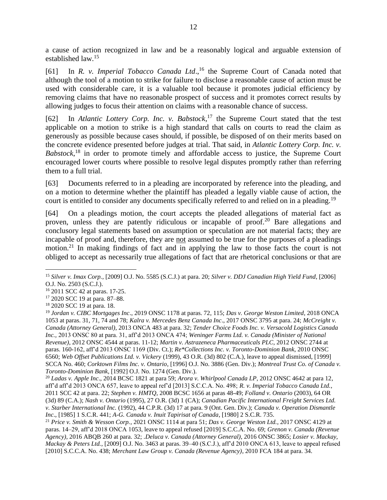a cause of action recognized in law and be a reasonably logical and arguable extension of established law. 15

[61] In *R. v. Imperial Tobacco Canada Ltd.*,<sup>16</sup> the Supreme Court of Canada noted that although the tool of a motion to strike for failure to disclose a reasonable cause of action must be used with considerable care, it is a valuable tool because it promotes judicial efficiency by removing claims that have no reasonable prospect of success and it promotes correct results by allowing judges to focus their attention on claims with a reasonable chance of success.

[62] In *Atlantic Lottery Corp. Inc. v. Babstock*, <sup>17</sup> the Supreme Court stated that the test applicable on a motion to strike is a high standard that calls on courts to read the claim as generously as possible because cases should, if possible, be disposed of on their merits based on the concrete evidence presented before judges at trial. That said, in *Atlantic Lottery Corp. Inc. v. Babstock*, <sup>18</sup> in order to promote timely and affordable access to justice, the Supreme Court encouraged lower courts where possible to resolve legal disputes promptly rather than referring them to a full trial.

[63] Documents referred to in a pleading are incorporated by reference into the pleading, and on a motion to determine whether the plaintiff has pleaded a legally viable cause of action, the court is entitled to consider any documents specifically referred to and relied on in a pleading.<sup>19</sup>

[64] On a pleadings motion, the court accepts the pleaded allegations of material fact as proven, unless they are patently ridiculous or incapable of proof.<sup>20</sup> Bare allegations and conclusory legal statements based on assumption or speculation are not material facts; they are incapable of proof and, therefore, they are not assumed to be true for the purposes of a pleadings motion.<sup>21</sup> In making findings of fact and in applying the law to those facts the court is not obliged to accept as necessarily true allegations of fact that are rhetorical conclusions or that are

<sup>15</sup> *Silver v. Imax Corp.*, [2009] O.J. No. 5585 (S.C.J.) at para. 20; *Silver v. DDJ Canadian High Yield Fund*, [2006] O.J. No. 2503 (S.C.J.).

<sup>16</sup> 2011 SCC 42 at paras. 17-25.

<sup>17</sup> 2020 SCC 19 at para. 87–88.

<sup>18</sup> 2020 SCC 19 at para. 18.

<sup>19</sup> *Jordan v. CIBC Mortgages Inc*., 2019 ONSC 1178 at paras. 72, 115; *Das v. George Weston Limited*, 2018 ONCA 1053 at paras. 31, 71, 74 and 78; *Kalra v. Mercedes Benz Canada Inc*., 2017 ONSC 3795 at para. 24; *McCreight v. Canada (Attorney General)*, 2013 ONCA 483 at para. 32; *Tender Choice Foods Inc. v. Versacold Logistics Canada Inc.,* 2013 ONSC 80 at para. 31, aff'd 2013 ONCA 474; *Weninger Farms Ltd. v. Canada (Minister of National Revenue)*, 2012 ONSC 4544 at paras. 11-12; *Martin v. Astrazeneca Pharmaceuticals PLC*, 2012 ONSC 2744 at paras. 160-162, aff'd 2013 ONSC 1169 (Div. Ct.); *Re\*Collections Inc. v. Toronto-Dominion Bank*, 2010 ONSC 6560; *Web Offset Publications Ltd. v. Vickery* (1999), 43 O.R. (3d) 802 (C.A.), leave to appeal dismissed, [1999] SCCA No. 460; *Corktown Films Inc. v. Ontario*, [1996] O.J. No. 3886 (Gen. Div.); *Montreal Trust Co. of Canada v. Toronto-Dominion Bank*, [1992] O.J. No. 1274 (Gen. Div.).

<sup>20</sup> *Ladas v. Apple Inc*., 2014 BCSC 1821 at para 59; *Arora v. Whirlpool Canada LP*, 2012 ONSC 4642 at para 12, aff'd aff'd 2013 ONCA 657, leave to appeal ref'd [2013] S.C.C.A. No. 498; *R. v. Imperial Tobacco Canada Ltd.*, 2011 SCC 42 at para. 22; *Stephen v. HMTQ*, 2008 BCSC 1656 at paras 48-49; *Folland v. Ontario* (2003), 64 OR (3d) 89 (C.A.); *Nash v. Ontario* (1995), 27 O.R. (3d) 1 (CA); *Canadian Pacific International Freight Services Ltd. v. Starber International Inc.* (1992), 44 C.P.R. (3d) 17 at para. 9 (Ont. Gen. Div.); *Canada v. Operation Dismantle Inc*., [1985] 1 S.C.R. 441; *A-G. Canada v. Inuit Tapirisat of Canada*, [1980] 2 S.C.R. 735.

<sup>21</sup> *Price v. Smith & Wesson Corp.*, 2021 ONSC 1114 at para 51; *Das v. George Weston Ltd.*, 2017 ONSC 4129 at paras. 14–29, aff'd 2018 ONCA 1053, leave to appeal refused [2019] S.C.C.A. No. 69; *Grenon v. Canada (Revenue Agency)*, 2016 ABQB 260 at para. 32; .*Deluca v. Canada (Attorney General)*, 2016 ONSC 3865; *Losier v. Mackay, Mackay & Peters Ltd.*, [2009] O.J. No. 3463 at paras. 39–40 (S.C.J.), aff'd 2010 ONCA 613, leave to appeal refused [2010] S.C.C.A. No. 438; *Merchant Law Group v. Canada (Revenue Agency)*, 2010 FCA 184 at para. 34.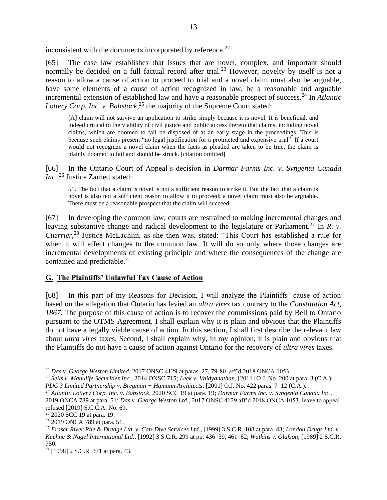inconsistent with the documents incorporated by reference.<sup>22</sup>

[65] The case law establishes that issues that are novel, complex, and important should normally be decided on a full factual record after trial.<sup>23</sup> However, novelty by itself is not a reason to allow a cause of action to proceed to trial and a novel claim must also be arguable, have some elements of a cause of action recognized in law, be a reasonable and arguable incremental extension of established law and have a reasonable prospect of success.<sup>24</sup> In *Atlantic Lottery Corp. Inc. v. Babstock*, <sup>25</sup> the majority of the Supreme Court stated:

[A] claim will not survive an application to strike simply because it is novel. It is beneficial, and indeed critical to the viability of civil justice and public access thereto that claims, including novel claims, which are doomed to fail be disposed of at an early stage in the proceedings. This is because such claims present "no legal justification for a protracted and expensive trial". If a court would not recognize a novel claim when the facts as pleaded are taken to be true, the claim is plainly doomed to fail and should be struck. [citation omitted]

[66] In the Ontario Court of Appeal's decision in *Darmar Farms Inc. v. Syngenta Canada Inc.*, <sup>26</sup> Justice Zarnett stated:

51. The fact that a claim is novel is not a sufficient reason to strike it. But the fact that a claim is novel is also not a sufficient reason to allow it to proceed; a novel claim must also be arguable. There must be a reasonable prospect that the claim will succeed.

[67] In developing the common law, courts are restrained to making incremental changes and leaving substantive change and radical development to the legislature or Parliament.<sup>27</sup> In *R. v. Cuerrier*, <sup>28</sup> Justice McLachlin, as she then was, stated: "This Court has established a rule for when it will effect changes to the common law. It will do so only where those changes are incremental developments of existing principle and where the consequences of the change are contained and predictable."

## <span id="page-12-0"></span>**G. The Plaintiffs' Unlawful Tax Cause of Action**

[68] In this part of my Reasons for Decision, I will analyze the Plaintiffs' cause of action based on the allegation that Ontario has levied an *ultra vires* tax contrary to the *Constitution Act, 1867.* The purpose of this cause of action is to recover the commissions paid by Bell to Ontario pursuant to the OTMS Agreement. I shall explain why it is plain and obvious that the Plaintiffs do not have a legally viable cause of action. In this section, I shall first describe the relevant law about *ultra vires* taxes. Second, I shall explain why, in my opinion, it is plain and obvious that the Plaintiffs do not have a cause of action against Ontario for the recovery of *ultra vires* taxes.

<sup>22</sup> *Das v. George Weston Limited*, 2017 ONSC 4129 at paras. 27, 79-80, aff'd 2018 ONCA 1053.

<sup>23</sup> *Sells v. Manulife Securities Inc.*, 2014 ONSC 715; *Leek v. Vaidyanathan*, [2011] O.J. No. 200 at para. 3 (C.A.); *PDC 3 Limited Partnership v. Bregman + Hamann Architects*, [2001] O.J. No. 422 paras. 7–12 (C.A.).

<sup>24</sup> *Atlantic Lottery Corp. Inc. v. Babstock*, 2020 SCC 19 at para. 19; *Darmar Farms Inc. v. Syngenta Canada Inc.*, 2019 ONCA 789 at para. 51; *Das v. George Weston Ltd.*, 2017 ONSC 4129 aff'd 2018 ONCA 1053, leave to appeal refused [2019] S.C.C.A. No. 69.

<sup>&</sup>lt;sup>25</sup> 2020 SCC 19 at para. 19.

<sup>26</sup> 2019 ONCA 789 at para. 51.

<sup>27</sup> *Fraser River Pile & Dredge Ltd. v. Can-Dive Services Ltd.*, [1999] 3 S.C.R. 108 at para. 43; *London Drugs Ltd. v. Kuehne & Nagel International Ltd.*, [1992] 3 S.C.R. 299 at pp. 436–39, 461–62; *Watkins v. Olafson*, [1989] 2 S.C.R. 750.

<sup>28</sup> [1998] 2 S.C.R. 371 at para. 43.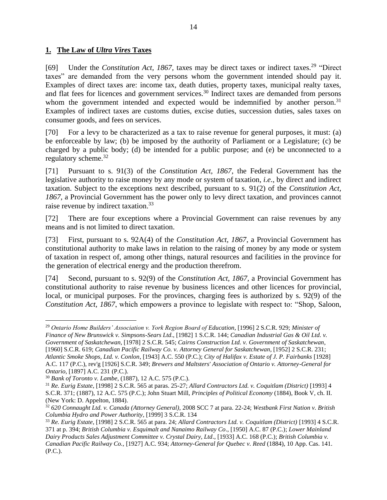## <span id="page-13-0"></span>**1. The Law of** *Ultra Vires* **Taxes**

[69] Under the *Constitution Act, 1867*, taxes may be direct taxes or indirect taxes.<sup>29</sup> "Direct taxes" are demanded from the very persons whom the government intended should pay it. Examples of direct taxes are: income tax, death duties, property taxes, municipal realty taxes, and flat fees for licences and government services.<sup>30</sup> Indirect taxes are demanded from persons whom the government intended and expected would be indemnified by another person.<sup>31</sup> Examples of indirect taxes are customs duties, excise duties, succession duties, sales taxes on consumer goods, and fees on services.

[70] For a levy to be characterized as a tax to raise revenue for general purposes, it must: (a) be enforceable by law; (b) be imposed by the authority of Parliament or a Legislature; (c) be charged by a public body; (d) be intended for a public purpose; and (e) be unconnected to a regulatory scheme.<sup>32</sup>

[71] Pursuant to s. 91(3) of the *Constitution Act, 1867*, the Federal Government has the legislative authority to raise money by any mode or system of taxation, *i.e*., by direct and indirect taxation. Subject to the exceptions next described, pursuant to s. 91(2) of the *Constitution Act, 1867,* a Provincial Government has the power only to levy direct taxation, and provinces cannot raise revenue by indirect taxation.<sup>33</sup>

[72] There are four exceptions where a Provincial Government can raise revenues by any means and is not limited to direct taxation.

[73] First, pursuant to s. 92A(4) of the *Constitution Act, 1867*, a Provincial Government has constitutional authority to make laws in relation to the raising of money by any mode or system of taxation in respect of, among other things, natural resources and facilities in the province for the generation of electrical energy and the production therefrom.

[74] Second, pursuant to s. 92(9) of the *Constitution Act, 1867,* a Provincial Government has constitutional authority to raise revenue by business licences and other licences for provincial, local, or municipal purposes. For the provinces, charging fees is authorized by s. 92(9) of the *Constitution Act, 1867*, which empowers a province to legislate with respect to: "Shop, Saloon,

<sup>29</sup> *Ontario Home Builders' Association v. York Region Board of Education,* [1996] 2 S.C.R. 929; *Minister of Finance of New Brunswick v. Simpsons-Sears Ltd*., [1982] 1 S.C.R. 144; *Canadian Industrial Gas & Oil Ltd. v. Government of Saskatchewan*, [1978] 2 S.C.R. 545; *Cairns Construction Ltd. v. Government of Saskatchewan*,

[1960] S.C.R. 619; *Canadian Pacific Railway Co. v. Attorney General for Saskatchewan*, [1952] 2 S.C.R. 231; *Atlantic Smoke Shops, Ltd. v. Conlon*, [1943] A.C. 550 (P.C.); *City of Halifax v. Estate of J. P. Fairbanks* [1928] A.C. 117 (P.C.), rev'g [1926] S.C.R. 349; *Brewers and Maltsters' Association of Ontario v. Attorney-General for Ontario*, [1897] A.C. 231 (P.C.).

<sup>30</sup> *Bank of Toronto v. Lambe*, (1887), 12 A.C. 575 (P.C.).

<sup>31</sup> *Re. Eurig Estate*, [1998] 2 S.C.R. 565 at paras. 25-27; *Allard Contractors Ltd. v. Coquitlam (District)* [1993] 4 S.C.R. 371; (1887), 12 A.C. 575 (P.C.); John Stuart Mill, *Principles of Political Economy* (1884), Book V, ch. II. (New York: D. Appelton, 1884).

<sup>32</sup> *620 Connaught Ltd. v. Canada (Attorney General),* 2008 SCC 7 at para. 22-24; *Westbank First Nation v. British Columbia Hydro and Power Authority,* [1999] 3 S.C.R. 134

<sup>33</sup> *Re. Eurig Estate*, [1998] 2 S.C.R. 565 at para. 24; *Allard Contractors Ltd. v. Coquitlam (District)* [1993] 4 S.C.R. 371 at p. 394; *British Columbia v. Esquimalt and Nanaimo Railway Co*., [1950] A.C. 87 (P.C.); *Lower Mainland Dairy Products Sales Adjustment Committee v. Crystal Dairy, Ltd*., [1933] A.C. 168 (P.C.); *British Columbia v. Canadian Pacific Railway Co.,* [1927] A.C. 934; *Attorney-General for Quebec v. Reed* (1884), 10 App. Cas. 141. (P.C.).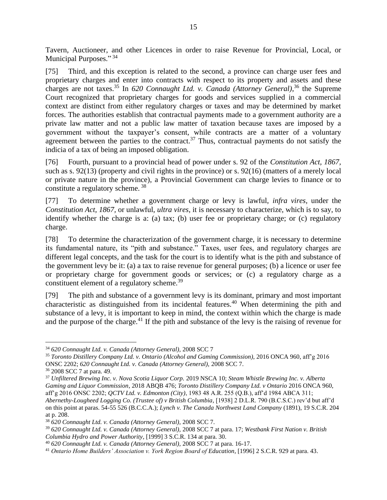Tavern, Auctioneer, and other Licences in order to raise Revenue for Provincial, Local, or Municipal Purposes."<sup>34</sup>

[75] Third, and this exception is related to the second, a province can charge user fees and proprietary charges and enter into contracts with respect to its property and assets and these charges are not taxes.<sup>35</sup> In *620 Connaught Ltd. v. Canada (Attorney General)*, <sup>36</sup> the Supreme Court recognized that proprietary charges for goods and services supplied in a commercial context are distinct from either regulatory charges or taxes and may be determined by market forces. The authorities establish that contractual payments made to a government authority are a private law matter and not a public law matter of taxation because taxes are imposed by a government without the taxpayer's consent, while contracts are a matter of a voluntary agreement between the parties to the contract.<sup>37</sup> Thus, contractual payments do not satisfy the indicia of a tax of being an imposed obligation.

[76] Fourth, pursuant to a provincial head of power under s. 92 of the *Constitution Act, 1867,*  such as s. 92(13) (property and civil rights in the province) or s. 92(16) (matters of a merely local or private nature in the province), a Provincial Government can charge levies to finance or to constitute a regulatory scheme. <sup>38</sup>

[77] To determine whether a government charge or levy is lawful, *infra vires,* under the *Constitution Act, 1867,* or unlawful, *ultra vires*, it is necessary to characterize, which is to say, to identify whether the charge is a: (a) tax; (b) user fee or proprietary charge; or (c) regulatory charge.

[78] To determine the characterization of the government charge, it is necessary to determine its fundamental nature, its "pith and substance." Taxes, user fees, and regulatory charges are different legal concepts, and the task for the court is to identify what is the pith and substance of the government levy be it: (a) a tax to raise revenue for general purposes; (b) a licence or user fee or proprietary charge for government goods or services; or (c) a regulatory charge as a constituent element of a regulatory scheme.<sup>39</sup>

[79] The pith and substance of a government levy is its dominant, primary and most important characteristic as distinguished from its incidental features.<sup>40</sup> When determining the pith and substance of a levy, it is important to keep in mind, the context within which the charge is made and the purpose of the charge.<sup>41</sup> If the pith and substance of the levy is the raising of revenue for

<sup>36</sup> 2008 SCC 7 at para. 49.

<sup>34</sup> *620 Connaught Ltd. v. Canada (Attorney General),* 2008 SCC 7

<sup>35</sup> *Toronto Distillery Company Ltd. v. Ontario (Alcohol and Gaming Commission)*, 2016 ONCA 960, aff'g 2016 ONSC 2202; *620 Connaught Ltd. v. Canada (Attorney General),* 2008 SCC 7.

<sup>37</sup> *Unfiltered Brewing Inc. v. Nova Scotia Liquor Corp.* 2019 NSCA 10; *Steam Whistle Brewing Inc. v. Alberta Gaming and Liquor Commission*, 2018 ABQB 476; *Toronto Distillery Company Ltd. v Ontario* 2016 ONCA 960, aff'g 2016 ONSC 2202; *QCTV Ltd. v. Edmonton (City)*, 1983 48 A.R. 255 (Q.B.), aff'd 1984 ABCA 311; *Abernethy-Lougheed Logging Co. (Trustee of) v British Columbia*, [1938] 2 D.L.R. 790 (B.C.S.C.) rev'd but aff'd on this point at paras. 54-55 526 (B.C.C.A.); *Lynch v. The Canada Northwest Land Company* (1891), 19 S.C.R. 204 at p. 208.

<sup>38</sup> *620 Connaught Ltd. v. Canada (Attorney General),* 2008 SCC 7.

<sup>39</sup> *620 Connaught Ltd. v. Canada (Attorney General),* 2008 SCC 7 at para. 17; *Westbank First Nation v. British Columbia Hydro and Power Authority,* [1999] 3 S.C.R. 134 at para. 30.

<sup>40</sup> *620 Connaught Ltd. v. Canada (Attorney General),* 2008 SCC 7 at para. 16-17.

<sup>41</sup> *Ontario Home Builders' Association v. York Region Board of Education,* [1996] 2 S.C.R. 929 at para. 43.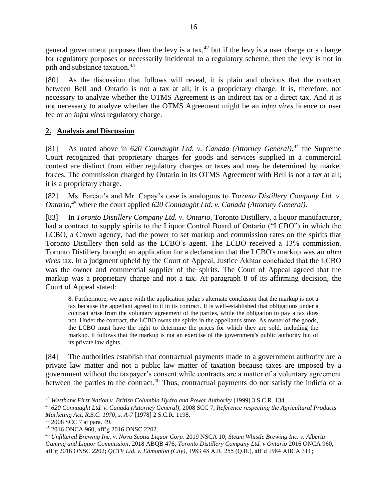general government purposes then the levy is a tax,<sup>42</sup> but if the levy is a user charge or a charge for regulatory purposes or necessarily incidental to a regulatory scheme, then the levy is not in pith and substance taxation.<sup>43</sup>

[80] As the discussion that follows will reveal, it is plain and obvious that the contract between Bell and Ontario is not a tax at all; it is a proprietary charge. It is, therefore, not necessary to analyze whether the OTMS Agreement is an indirect tax or a direct tax. And it is not necessary to analyze whether the OTMS Agreement might be an *infra vires* licence or user fee or an *infra vires* regulatory charge.

## <span id="page-15-0"></span>**2. Analysis and Discussion**

[81] As noted above in 620 Connaught Ltd. v. Canada (Attorney General),<sup>44</sup> the Supreme Court recognized that proprietary charges for goods and services supplied in a commercial context are distinct from either regulatory charges or taxes and may be determined by market forces. The commission charged by Ontario in its OTMS Agreement with Bell is not a tax at all; it is a proprietary charge.

[82] Ms. Fareau's and Mr. Capay's case is analogous to *Toronto Distillery Company Ltd. v. Ontario*, <sup>45</sup> where the court applied *620 Connaught Ltd. v. Canada (Attorney General)*.

[83] In *Toronto Distillery Company Ltd. v. Ontario*, Toronto Distillery, a liquor manufacturer, had a contract to supply spirits to the Liquor Control Board of Ontario ("LCBO") in which the LCBO, a Crown agency, had the power to set markup and commission rates on the spirits that Toronto Distillery then sold as the LCBO's agent. The LCBO received a 13% commission. Toronto Distillery brought an application for a declaration that the LCBO's markup was an *ultra vires* tax. In a judgment upheld by the Court of Appeal, Justice Akhtar concluded that the LCBO was the owner and commercial supplier of the spirits. The Court of Appeal agreed that the markup was a proprietary charge and not a tax. At paragraph 8 of its affirming decision, the Court of Appeal stated:

8. Furthermore, we agree with the application judge's alternate conclusion that the markup is not a tax because the appellant agreed to it in its contract. It is well-established that obligations under a contract arise from the voluntary agreement of the parties, while the obligation to pay a tax does not. Under the contract, the LCBO owns the spirits in the appellant's store. As owner of the goods, the LCBO must have the right to determine the prices for which they are sold, including the markup. It follows that the markup is not an exercise of the government's public authority but of its private law rights.

[84] The authorities establish that contractual payments made to a government authority are a private law matter and not a public law matter of taxation because taxes are imposed by a government without the taxpayer's consent while contracts are a matter of a voluntary agreement between the parties to the contract.<sup>46</sup> Thus, contractual payments do not satisfy the indicia of a

<sup>42</sup> *Westbank First Nation v. British Columbia Hydro and Power Authority* [1999] 3 S.C.R. 134.

<sup>43</sup> *620 Connaught Ltd. v. Canada (Attorney General),* 2008 SCC 7; *Reference respecting the Agricultural Products Marketing Act, R.S.C. 1970, s. A-7* [1978] 2 S.C.R. 1198.

<sup>44</sup> 2008 SCC 7 at para. 49.

<sup>45</sup> 2016 ONCA 960, aff'g 2016 ONSC 2202.

<sup>46</sup> *Unfiltered Brewing Inc. v. Nova Scotia Liquor Corp*. 2019 NSCA 10; *Steam Whistle Brewing Inc. v. Alberta Gaming and Liquor Commission*, 2018 ABQB 476; *Toronto Distillery Company Ltd. v Ontario* 2016 ONCA 960, aff'g 2016 ONSC 2202; *QCTV Ltd. v. Edmonton (City)*, 1983 48 A.R. 255 (Q.B.), aff'd 1984 ABCA 311;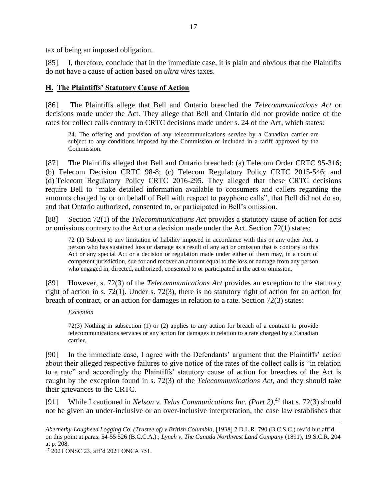tax of being an imposed obligation.

[85] I, therefore, conclude that in the immediate case, it is plain and obvious that the Plaintiffs do not have a cause of action based on *ultra vires* taxes.

### <span id="page-16-0"></span>**H. The Plaintiffs' Statutory Cause of Action**

[86] The Plaintiffs allege that Bell and Ontario breached the *Telecommunications Act* or decisions made under the Act. They allege that Bell and Ontario did not provide notice of the rates for collect calls contrary to CRTC decisions made under s. 24 of the Act, which states:

24. The offering and provision of any telecommunications service by a Canadian carrier are subject to any conditions imposed by the Commission or included in a tariff approved by the Commission.

[87] The Plaintiffs alleged that Bell and Ontario breached: (a) Telecom Order CRTC 95-316; (b) Telecom Decision CRTC 98-8; (c) Telecom Regulatory Policy CRTC 2015-546; and (d) Telecom Regulatory Policy CRTC 2016-295. They alleged that these CRTC decisions require Bell to "make detailed information available to consumers and callers regarding the amounts charged by or on behalf of Bell with respect to payphone calls", that Bell did not do so, and that Ontario authorized, consented to, or participated in Bell's omission.

[88] Section 72(1) of the *Telecommunications Act* provides a statutory cause of action for acts or omissions contrary to the Act or a decision made under the Act. Section 72(1) states:

72 (1) Subject to any limitation of liability imposed in accordance with this or any other Act, a person who has sustained loss or damage as a result of any act or omission that is contrary to this Act or any special Act or a decision or regulation made under either of them may, in a court of competent jurisdiction, sue for and recover an amount equal to the loss or damage from any person who engaged in, directed, authorized, consented to or participated in the act or omission.

[89] However, s. 72(3) of the *Telecommunications Act* provides an exception to the statutory right of action in s. 72(1). Under s. 72(3), there is no statutory right of action for an action for breach of contract, or an action for damages in relation to a rate. Section 72(3) states:

*Exception*

72(3) Nothing in subsection (1) or (2) applies to any action for breach of a contract to provide telecommunications services or any action for damages in relation to a rate charged by a Canadian carrier.

[90] In the immediate case, I agree with the Defendants' argument that the Plaintiffs' action about their alleged respective failures to give notice of the rates of the collect calls is "in relation to a rate" and accordingly the Plaintiffs' statutory cause of action for breaches of the Act is caught by the exception found in s. 72(3) of the *Telecommunications Act*, and they should take their grievances to the CRTC.

[91] While I cautioned in *Nelson v. Telus Communications Inc. (Part 2)*, <sup>47</sup> that s. 72(3) should not be given an under-inclusive or an over-inclusive interpretation, the case law establishes that

*Abernethy-Lougheed Logging Co. (Trustee of) v British Columbia*, [1938] 2 D.L.R. 790 (B.C.S.C.) rev'd but aff'd on this point at paras. 54-55 526 (B.C.C.A.).; *Lynch v. The Canada Northwest Land Company* (1891), 19 S.C.R. 204 at p. 208.

<sup>47</sup> 2021 ONSC 23, aff'd 2021 ONCA 751.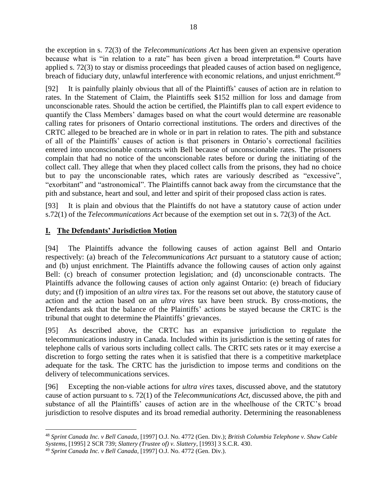the exception in s. 72(3) of the *Telecommunications Act* has been given an expensive operation because what is "in relation to a rate" has been given a broad interpretation.<sup>48</sup> Courts have applied s. 72(3) to stay or dismiss proceedings that pleaded causes of action based on negligence, breach of fiduciary duty, unlawful interference with economic relations, and unjust enrichment.<sup>49</sup>

[92] It is painfully plainly obvious that all of the Plaintiffs' causes of action are in relation to rates. In the Statement of Claim, the Plaintiffs seek \$152 million for loss and damage from unconscionable rates. Should the action be certified, the Plaintiffs plan to call expert evidence to quantify the Class Members' damages based on what the court would determine are reasonable calling rates for prisoners of Ontario correctional institutions. The orders and directives of the CRTC alleged to be breached are in whole or in part in relation to rates. The pith and substance of all of the Plaintiffs' causes of action is that prisoners in Ontario's correctional facilities entered into unconscionable contracts with Bell because of unconscionable rates. The prisoners complain that had no notice of the unconscionable rates before or during the initiating of the collect call. They allege that when they placed collect calls from the prisons, they had no choice but to pay the unconscionable rates, which rates are variously described as "excessive", "exorbitant" and "astronomical". The Plaintiffs cannot back away from the circumstance that the pith and substance, heart and soul, and letter and spirit of their proposed class action is rates.

[93] It is plain and obvious that the Plaintiffs do not have a statutory cause of action under s.72(1) of the *Telecommunications Act* because of the exemption set out in s. 72(3) of the Act.

## <span id="page-17-0"></span>**I. The Defendants' Jurisdiction Motion**

[94] The Plaintiffs advance the following causes of action against Bell and Ontario respectively: (a) breach of the *Telecommunications Act* pursuant to a statutory cause of action; and (b) unjust enrichment. The Plaintiffs advance the following causes of action only against Bell: (c) breach of consumer protection legislation; and (d) unconscionable contracts. The Plaintiffs advance the following causes of action only against Ontario: (e) breach of fiduciary duty; and (f) imposition of an *ultra vires* tax. For the reasons set out above, the statutory cause of action and the action based on an *ultra vires* tax have been struck. By cross-motions, the Defendants ask that the balance of the Plaintiffs' actions be stayed because the CRTC is the tribunal that ought to determine the Plaintiffs' grievances.

[95] As described above, the CRTC has an expansive jurisdiction to regulate the telecommunications industry in Canada. Included within its jurisdiction is the setting of rates for telephone calls of various sorts including collect calls. The CRTC sets rates or it may exercise a discretion to forgo setting the rates when it is satisfied that there is a competitive marketplace adequate for the task. The CRTC has the jurisdiction to impose terms and conditions on the delivery of telecommunications services.

[96] Excepting the non-viable actions for *ultra vires* taxes, discussed above, and the statutory cause of action pursuant to s. 72(1) of the *Telecommunications Act*, discussed above, the pith and substance of all the Plaintiffs' causes of action are in the wheelhouse of the CRTC's broad jurisdiction to resolve disputes and its broad remedial authority. Determining the reasonableness

<sup>48</sup> *Sprint Canada Inc. v Bell Canada*, [1997] O.J. No. 4772 (Gen. Div.); *British Columbia Telephone v. Shaw Cable Systems*, [1995] 2 SCR 739; *Slattery (Trustee of) v. Slattery*, [1993] 3 S.C.R. 430.

<sup>49</sup> *Sprint Canada Inc. v Bell Canada*, [1997] O.J. No. 4772 (Gen. Div.).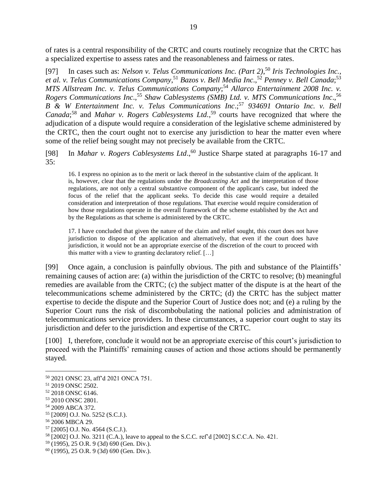of rates is a central responsibility of the CRTC and courts routinely recognize that the CRTC has a specialized expertise to assess rates and the reasonableness and fairness or rates.

[97] In cases such as: *Nelson v. Telus Communications Inc. (Part 2)*, <sup>50</sup> *Iris Technologies Inc., et al. v. Telus Communications Company*, <sup>51</sup> *Bazos v. Bell Media Inc*., <sup>52</sup> *Penney v. Bell Canada*; 53 *MTS Allstream Inc. v. Telus Communications Company*; <sup>54</sup> *Allarco Entertainment 2008 Inc. v. Rogers Communications Inc*., <sup>55</sup> *Shaw Cablesystems (SMB) Ltd. v. MTS Communications Inc*., 56 *B & W Entertainment Inc. v. Telus Communications Inc*.; <sup>57</sup> *934691 Ontario Inc. v. Bell Canada*; <sup>58</sup> and *Mahar v. Rogers Cablesystems Ltd.*, <sup>59</sup> courts have recognized that where the adjudication of a dispute would require a consideration of the legislative scheme administered by the CRTC, then the court ought not to exercise any jurisdiction to hear the matter even where some of the relief being sought may not precisely be available from the CRTC.

[98] In *Mahar v. Rogers Cablesystems Ltd*., <sup>60</sup> Justice Sharpe stated at paragraphs 16-17 and 35:

16. I express no opinion as to the merit or lack thereof in the substantive claim of the applicant. It is, however, clear that the regulations under the *Broadcasting Act* and the interpretation of those regulations, are not only a central substantive component of the applicant's case, but indeed the focus of the relief that the applicant seeks. To decide this case would require a detailed consideration and interpretation of those regulations. That exercise would require consideration of how those regulations operate in the overall framework of the scheme established by the Act and by the Regulations as that scheme is administered by the CRTC.

17. I have concluded that given the nature of the claim and relief sought, this court does not have jurisdiction to dispose of the application and alternatively, that even if the court does have jurisdiction, it would not be an appropriate exercise of the discretion of the court to proceed with this matter with a view to granting declaratory relief. […]

[99] Once again, a conclusion is painfully obvious. The pith and substance of the Plaintiffs' remaining causes of action are: (a) within the jurisdiction of the CRTC to resolve; (b) meaningful remedies are available from the CRTC; (c) the subject matter of the dispute is at the heart of the telecommunications scheme administered by the CRTC; (d) the CRTC has the subject matter expertise to decide the dispute and the Superior Court of Justice does not; and (e) a ruling by the Superior Court runs the risk of discombobulating the national policies and administration of telecommunications service providers. In these circumstances, a superior court ought to stay its jurisdiction and defer to the jurisdiction and expertise of the CRTC.

[100] I, therefore, conclude it would not be an appropriate exercise of this court's jurisdiction to proceed with the Plaintiffs' remaining causes of action and those actions should be permanently stayed.

<sup>50</sup> 2021 ONSC 23, aff'd 2021 ONCA 751.

<sup>51</sup> 2019 ONSC 2502.

<sup>52</sup> 2018 ONSC 6146.

<sup>53</sup> 2010 ONSC 2801.

<sup>54</sup> 2009 ABCA 372.

<sup>55</sup> [2009] O.J. No. 5252 (S.C.J.).

<sup>56</sup> 2006 MBCA 29.

<sup>57</sup> [2005] O.J. No. 4564 (S.C.J.).

<sup>58</sup> [2002] O.J. No. 3211 (C.A.), leave to appeal to the S.C.C. ref'd [2002] S.C.C.A. No. 421.

<sup>59</sup> (1995), 25 O.R. 9 (3d) 690 (Gen. Div.).

<sup>60</sup> (1995), 25 O.R. 9 (3d) 690 (Gen. Div.).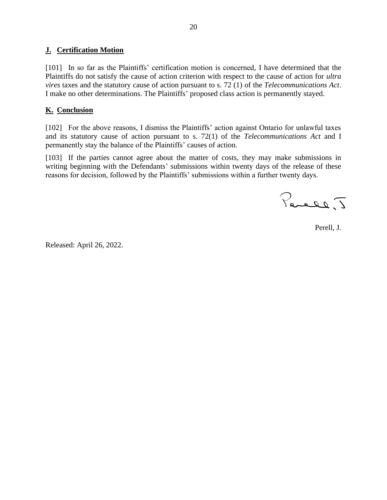## <span id="page-19-0"></span>**J. Certification Motion**

[101] In so far as the Plaintiffs' certification motion is concerned, I have determined that the Plaintiffs do not satisfy the cause of action criterion with respect to the cause of action for *ultra vires* taxes and the statutory cause of action pursuant to s. 72 (1) of the *Telecommunications Act*. I make no other determinations. The Plaintiffs' proposed class action is permanently stayed.

## <span id="page-19-1"></span>**K. Conclusion**

[102] For the above reasons, I dismiss the Plaintiffs' action against Ontario for unlawful taxes and its statutory cause of action pursuant to s. 72(1) of the *Telecommunications Act* and I permanently stay the balance of the Plaintiffs' causes of action.

[103] If the parties cannot agree about the matter of costs, they may make submissions in writing beginning with the Defendants' submissions within twenty days of the release of these reasons for decision, followed by the Plaintiffs' submissions within a further twenty days.

Percel, J

Perell, J.

Released: April 26, 2022.